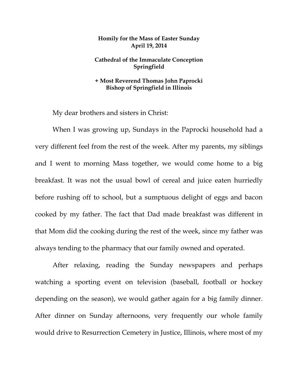## **Homily for the Mass of Easter Sunday April 19, 2014**

## **Cathedral of the Immaculate Conception Springfield**

## **+ Most Reverend Thomas John Paprocki Bishop of Springfield in Illinois**

My dear brothers and sisters in Christ:

When I was growing up, Sundays in the Paprocki household had a very different feel from the rest of the week. After my parents, my siblings and I went to morning Mass together, we would come home to a big breakfast. It was not the usual bowl of cereal and juice eaten hurriedly before rushing off to school, but a sumptuous delight of eggs and bacon cooked by my father. The fact that Dad made breakfast was different in that Mom did the cooking during the rest of the week, since my father was always tending to the pharmacy that our family owned and operated.

After relaxing, reading the Sunday newspapers and perhaps watching a sporting event on television (baseball, football or hockey depending on the season), we would gather again for a big family dinner. After dinner on Sunday afternoons, very frequently our whole family would drive to Resurrection Cemetery in Justice, Illinois, where most of my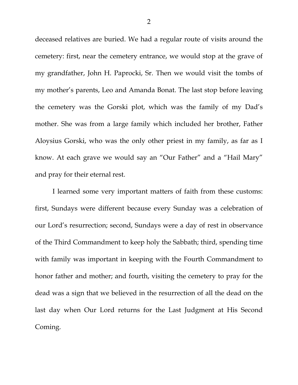deceased relatives are buried. We had a regular route of visits around the cemetery: first, near the cemetery entrance, we would stop at the grave of my grandfather, John H. Paprocki, Sr. Then we would visit the tombs of my mother's parents, Leo and Amanda Bonat. The last stop before leaving the cemetery was the Gorski plot, which was the family of my Dad's mother. She was from a large family which included her brother, Father Aloysius Gorski, who was the only other priest in my family, as far as I know. At each grave we would say an "Our Father" and a "Hail Mary" and pray for their eternal rest.

I learned some very important matters of faith from these customs: first, Sundays were different because every Sunday was a celebration of our Lord's resurrection; second, Sundays were a day of rest in observance of the Third Commandment to keep holy the Sabbath; third, spending time with family was important in keeping with the Fourth Commandment to honor father and mother; and fourth, visiting the cemetery to pray for the dead was a sign that we believed in the resurrection of all the dead on the last day when Our Lord returns for the Last Judgment at His Second Coming.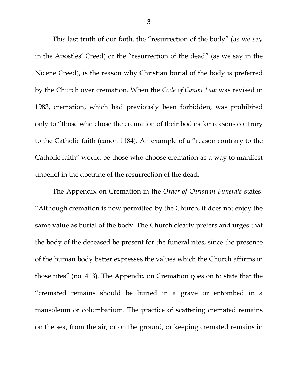This last truth of our faith, the "resurrection of the body" (as we say in the Apostles' Creed) or the "resurrection of the dead" (as we say in the Nicene Creed), is the reason why Christian burial of the body is preferred by the Church over cremation. When the *Code of Canon Law* was revised in 1983, cremation, which had previously been forbidden, was prohibited only to "those who chose the cremation of their bodies for reasons contrary to the Catholic faith (canon 1184). An example of a "reason contrary to the Catholic faith" would be those who choose cremation as a way to manifest unbelief in the doctrine of the resurrection of the dead.

The Appendix on Cremation in the *Order of Christian Funerals* states: "Although cremation is now permitted by the Church, it does not enjoy the same value as burial of the body. The Church clearly prefers and urges that the body of the deceased be present for the funeral rites, since the presence of the human body better expresses the values which the Church affirms in those rites" (no. 413). The Appendix on Cremation goes on to state that the "cremated remains should be buried in a grave or entombed in a mausoleum or columbarium. The practice of scattering cremated remains on the sea, from the air, or on the ground, or keeping cremated remains in